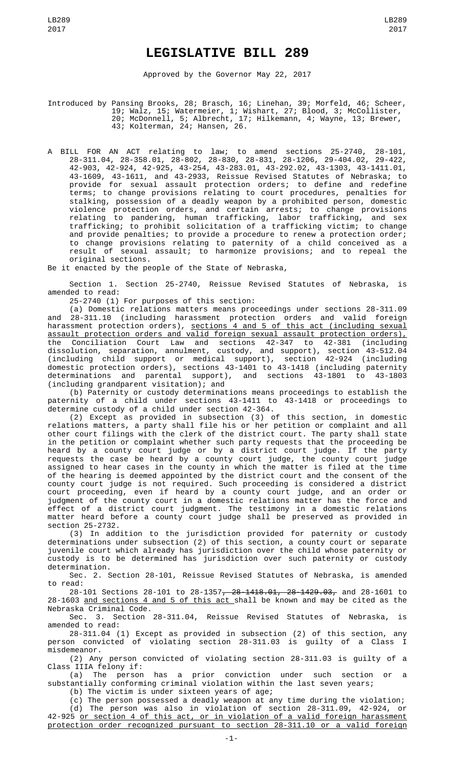## **LEGISLATIVE BILL 289**

Approved by the Governor May 22, 2017

Introduced by Pansing Brooks, 28; Brasch, 16; Linehan, 39; Morfeld, 46; Scheer, 19; Walz, 15; Watermeier, 1; Wishart, 27; Blood, 3; McCollister, 20; McDonnell, 5; Albrecht, 17; Hilkemann, 4; Wayne, 13; Brewer, 43; Kolterman, 24; Hansen, 26.

A BILL FOR AN ACT relating to law; to amend sections 25-2740, 28-101, 28-311.04, 28-358.01, 28-802, 28-830, 28-831, 28-1206, 29-404.02, 29-422, 42-903, 42-924, 42-925, 43-254, 43-283.01, 43-292.02, 43-1303, 43-1411.01, 43-1609, 43-1611, and 43-2933, Reissue Revised Statutes of Nebraska; to provide for sexual assault protection orders; to define and redefine terms; to change provisions relating to court procedures, penalties for stalking, possession of a deadly weapon by a prohibited person, domestic violence protection orders, and certain arrests; to change provisions relating to pandering, human trafficking, labor trafficking, and sex trafficking; to prohibit solicitation of a trafficking victim; to change and provide penalties; to provide a procedure to renew a protection order; to change provisions relating to paternity of a child conceived as a result of sexual assault; to harmonize provisions; and to repeal the original sections.

Be it enacted by the people of the State of Nebraska,

Section 1. Section 25-2740, Reissue Revised Statutes of Nebraska, is amended to read:

25-2740 (1) For purposes of this section:

(a) Domestic relations matters means proceedings under sections 28-311.09 and 28-311.10 (including harassment protection orders and valid foreign harassment protection orders), <u>sections 4 and 5 of this act (including sexual</u> assault protection orders and valid foreign sexual assault protection orders), the Conciliation Court Law and sections 42-347 to 42-381 (including dissolution, separation, annulment, custody, and support), section 43-512.04 (including child support or medical support), section 42-924 (including domestic protection orders), sections 43-1401 to 43-1418 (including paternity determinations and parental support), and sections 43-1801 to 43-1803 (including grandparent visitation); and

(b) Paternity or custody determinations means proceedings to establish the paternity of a child under sections 43-1411 to 43-1418 or proceedings to determine custody of a child under section 42-364.

(2) Except as provided in subsection (3) of this section, in domestic relations matters, a party shall file his or her petition or complaint and all other court filings with the clerk of the district court. The party shall state in the petition or complaint whether such party requests that the proceeding be heard by a county court judge or by a district court judge. If the party requests the case be heard by a county court judge, the county court judge assigned to hear cases in the county in which the matter is filed at the time of the hearing is deemed appointed by the district court and the consent of the county court judge is not required. Such proceeding is considered a district court proceeding, even if heard by a county court judge, and an order or judgment of the county court in a domestic relations matter has the force and effect of a district court judgment. The testimony in a domestic relations matter heard before a county court judge shall be preserved as provided in section 25-2732.

(3) In addition to the jurisdiction provided for paternity or custody determinations under subsection (2) of this section, a county court or separate juvenile court which already has jurisdiction over the child whose paternity or custody is to be determined has jurisdiction over such paternity or custody determination.

Sec. 2. Section 28-101, Reissue Revised Statutes of Nebraska, is amended to read:

28-101 Sections 28-101 to 28-1357, 28-1418.01, 28-1429.03, and 28-1601 to 28-1603 <u>and sections 4 and 5 of this act s</u>hall be known and may be cited as the Nebraska Criminal Code.

Sec. 3. Section 28-311.04, Reissue Revised Statutes of Nebraska, amended to read:

28-311.04 (1) Except as provided in subsection (2) of this section, any person convicted of violating section 28-311.03 is guilty of a Class I misdemeanor.

(2) Any person convicted of violating section 28-311.03 is guilty of a Class IIIA felony if:<br>(a) The person

has a prior conviction under such section or a substantially conforming criminal violation within the last seven years;

(b) The victim is under sixteen years of age;

(c) The person possessed a deadly weapon at any time during the violation; (d) The person was also in violation of section 28-311.09, 42-924, or 42-925 or section 4 of this act, or in violation of a valid foreign harassment protection order recognized pursuant to section 28-311.10 or a valid foreign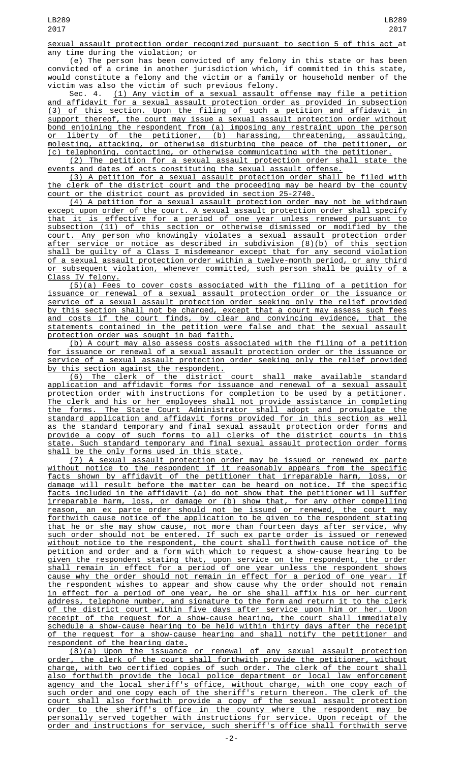sexual assault protection order recognized pursuant to section 5 of this act at any time during the violation; or

(e) The person has been convicted of any felony in this state or has been convicted of a crime in another jurisdiction which, if committed in this state, would constitute a felony and the victim or a family or household member of the victim was also the victim of such previous felony.

Sec. 4. (1) Any victim of a sexual assault offense may file a petition and affidavit for a sexual assault protection order as provided in subsection (3) of this section. Upon the filing of such a petition and affidavit in support thereof, the court may issue a sexual assault protection order without bond enjoining the respondent from (a) imposing any restraint upon the person or liberty of the petitioner, (b) harassing, threatening, assaulting, molesting, attacking, or otherwise disturbing the peace of the petitioner, or (c) telephoning, contacting, or otherwise communicating with the petitioner.

(2) The petition for a sexual assault protection order shall state the events and dates of acts constituting the sexual assault offense.

(3) A petition for a sexual assault protection order shall be filed with the clerk of the district court and the proceeding may be heard by the county court or the district court as provided in section 25-2740.

(4) A petition for a sexual assault protection order may not be withdrawn except upon order of the court. A sexual assault protection order shall specify that it is effective for a period of one year unless renewed pursuant to subsection (11) of this section or otherwise dismissed or modified by the  $\frac{\text{court. Any person who knowingly violates a sexual assault protection order}}{\text{after service or notice as described in subdivision (8)(b) of this section}}$ service or notice as described in subdivision  $(8)(b)$  of this section shall be guilty of a Class I misdemeanor except that for any second violation of a sexual assault protection order within a twelve-month period, or any third or subsequent violation, whenever committed, such person shall be guilty of a Class IV felony.

(5)(a) Fees to cover costs associated with the filing of a petition for issuance or renewal of a sexual assault protection order or the issuance or service of a sexual assault protection order seeking only the relief provided by this section shall not be charged, except that a court may assess such fees and costs if the court finds, by clear and convincing evidence, that the statements contained in the petition were false and that the sexual assault protection order was sought in bad faith.

(b) A court may also assess costs associated with the filing of a petition for issuance or renewal of a sexual assault protection order or the issuance or service of a sexual assault protection order seeking only the relief provided by this section against the respondent.

(6) The clerk of the district court shall make available standard application and affidavit forms for issuance and renewal of a sexual assault protection order with instructions for completion to be used by a petitioner. The clerk and his or her employees shall not provide assistance in completing the forms. The State Court Administrator shall adopt and promulgate the standard application and affidavit forms provided for in this section as well as the standard temporary and final sexual assault protection order forms and provide a copy of such forms to all clerks of the district courts in this state. Such standard temporary and final sexual assault protection order forms shall be the only forms used in this state.

(7) A sexual assault protection order may be issued or renewed ex parte without notice to the respondent if it reasonably appears from the specific facts shown by affidavit of the petitioner that irreparable harm, loss, or damage will result before the matter can be heard on notice. If the specific facts included in the affidavit (a) do not show that the petitioner will suffer irreparable harm, loss, or damage or (b) show that, for any other compelling reason, an ex parte order should not be issued or renewed, the court may forthwith cause notice of the application to be given to the respondent stating that he or she may show cause, not more than fourteen days after service, why such order should not be entered. If such ex parte order is issued or renewed without notice to the respondent, the court shall forthwith cause notice of the petition and order and a form with which to request a show-cause hearing to be given the respondent stating that, upon service on the respondent, the order shall remain in effect for a period of one year unless the respondent shows cause why the order should not remain in effect for a period of one year. If the respondent wishes to appear and show cause why the order should not remain in effect for a period of one year, he or she shall affix his or her current address, telephone number, and signature to the form and return it to the clerk of the district court within five days after service upon him or her. Upon receipt of the request for a show-cause hearing, the court shall immediately schedule a show-cause hearing to be held within thirty days after the receipt of the request for a show-cause hearing and shall notify the petitioner and respondent of the hearing date.

(8)(a) Upon the issuance or renewal of any sexual assault protection order, the clerk of the court shall forthwith provide the petitioner, without charge, with two certified copies of such order. The clerk of the court shall also forthwith provide the local police department or local law enforcement agency and the local sheriff's office, without charge, with one copy each of such order and one copy each of the sheriff's return thereon. The clerk of the court shall also forthwith provide a copy of the sexual assault protection order to the sheriff's office in the county where the respondent may be personally served together with instructions for service. Upon receipt of the order and instructions for service, such sheriff's office shall forthwith serve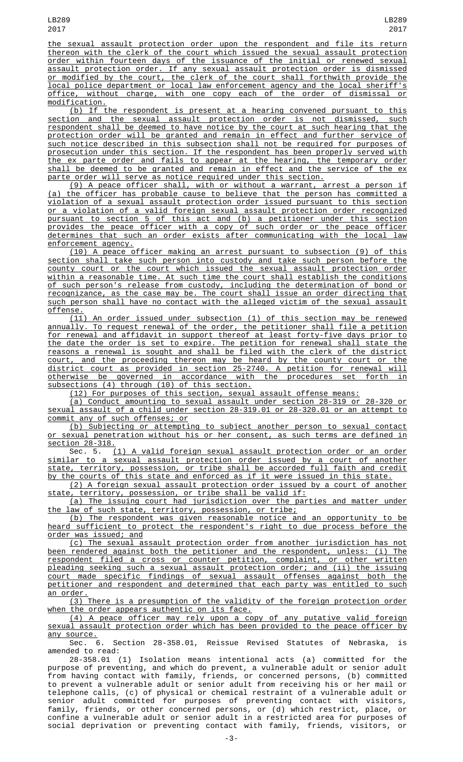the sexual assault protection order upon the respondent and file its return thereon with the clerk of the court which issued the sexual assault protection order within fourteen days of the issuance of the initial or renewed sexual assault protection order. If any sexual assault protection order is dismissed or modified by the court, the clerk of the court shall forthwith provide the local police department or local law enforcement agency and the local sheriff's office, without charge, with one copy each of the order of dismissal or modification.

(b) If the respondent is present at a hearing convened pursuant to this section and the sexual assault protection order is not dismissed, such respondent shall be deemed to have notice by the court at such hearing that the protection order will be granted and remain in effect and further service of such notice described in this subsection shall not be required for purposes of prosecution under this section. If the respondent has been properly served with the ex parte order and fails to appear at the hearing, the temporary order shall be deemed to be granted and remain in effect and the service of the ex parte order will serve as notice required under this section.

(9) A peace officer shall, with or without a warrant, arrest a person if (a) the officer has probable cause to believe that the person has committed a violation of a sexual assault protection order issued pursuant to this section or a violation of a valid foreign sexual assault protection order recognized pursuant to section 5 of this act and (b) a petitioner under this section provides the peace officer with a copy of such order or the peace officer determines that such an order exists after communicating with the local law enforcement agency.

(10) A peace officer making an arrest pursuant to subsection (9) of this section shall take such person into custody and take such person before the county court or the court which issued the sexual assault protection order within a reasonable time. At such time the court shall establish the conditions of such person's release from custody, including the determination of bond or recognizance, as the case may be. The court shall issue an order directing that such person shall have no contact with the alleged victim of the sexual assault offense.

(11) An order issued under subsection (1) of this section may be renewed annually. To request renewal of the order, the petitioner shall file a petition for renewal and affidavit in support thereof at least forty-five days prior to the date the order is set to expire. The petition for renewal shall state the reasons a renewal is sought and shall be filed with the clerk of the district court, and the proceeding thereon may be heard by the county court or the district court as provided in section 25-2740. A petition for renewal will otherwise be governed in accordance with the procedures set forth in subsections (4) through (10) of this section.

(12) For purposes of this section, sexual assault offense means:

(a) Conduct amounting to sexual assault under section 28-319 or 28-320 or sexual assault of a child under section 28-319.01 or 28-320.01 or an attempt to commit any of such offenses; or

(b) Subjecting or attempting to subject another person to sexual contact or sexual penetration without his or her consent, as such terms are defined in section 28-318.

Sec. 5. (1) A valid foreign sexual assault protection order or an order similar to a sexual assault protection order issued by a court of another state, territory, possession, or tribe shall be accorded full faith and credit by the courts of this state and enforced as if it were issued in this state.

(2) A foreign sexual assault protection order issued by a court of another state, territory, possession, or tribe shall be valid if:

(a) The issuing court had jurisdiction over the parties and matter under the law of such state, territory, possession, or tribe;

(b) The respondent was given reasonable notice and an opportunity to be heard sufficient to protect the respondent's right to due process before the <u>order was issued; and</u>

(c) The sexual assault protection order from another jurisdiction has not been rendered against both the petitioner and the respondent, unless: (i) The respondent filed a cross or counter petition, complaint, or other written pleading seeking such a sexual assault protection order; and (ii) the issuing court made specific findings of sexual assault offenses against both the petitioner and respondent and determined that each party was entitled to such an order.

(3) There is a presumption of the validity of the foreign protection order when the order appears authentic on its face.

(4) A peace officer may rely upon a copy of any putative valid foreign sexual assault protection order which has been provided to the peace officer by any source.

Sec. 6. Section 28-358.01, Reissue Revised Statutes of Nebraska, is amended to read:

28-358.01 (1) Isolation means intentional acts (a) committed for the purpose of preventing, and which do prevent, a vulnerable adult or senior adult from having contact with family, friends, or concerned persons, (b) committed to prevent a vulnerable adult or senior adult from receiving his or her mail or telephone calls, (c) of physical or chemical restraint of a vulnerable adult or senior adult committed for purposes of preventing contact with visitors, family, friends, or other concerned persons, or (d) which restrict, place, or confine a vulnerable adult or senior adult in a restricted area for purposes of social deprivation or preventing contact with family, friends, visitors, or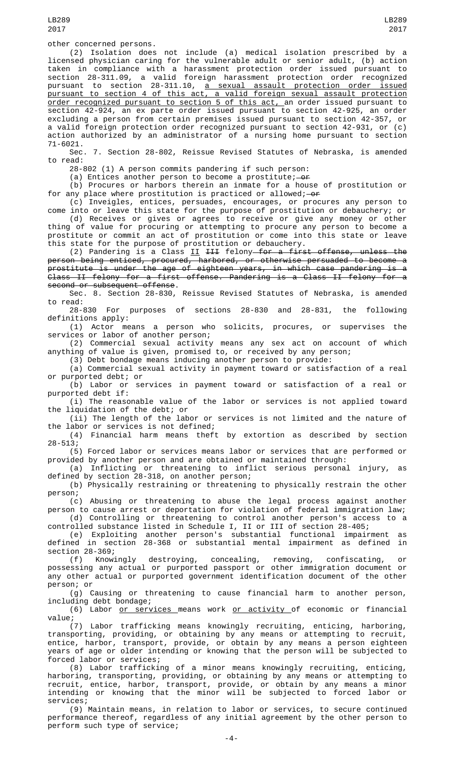LB289 2017

(2) Isolation does not include (a) medical isolation prescribed by a licensed physician caring for the vulnerable adult or senior adult, (b) action taken in compliance with a harassment protection order issued pursuant to section 28-311.09, a valid foreign harassment protection order recognized pursuant to section 28-311.10, <u>a sexual assault protection order issued</u> pursuant to section 4 of this act, a valid foreign sexual assault protection <u>order recognized pursuant to section 5 of this act, a</u>n order issued pursuant to section 42-924, an ex parte order issued pursuant to section 42-925, an order excluding a person from certain premises issued pursuant to section 42-357, or a valid foreign protection order recognized pursuant to section 42-931, or (c) action authorized by an administrator of a nursing home pursuant to section 71-6021.

Sec. 7. Section 28-802, Reissue Revised Statutes of Nebraska, is amended to read:

28-802 (1) A person commits pandering if such person:

(a) Entices another person to become a prostitute;  $-0f$ 

(b) Procures or harbors therein an inmate for a house of prostitution or for any place where prostitution is practiced or allowed;  $-0f$ 

(c) Inveigles, entices, persuades, encourages, or procures any person to come into or leave this state for the purpose of prostitution or debauchery; or (d) Receives or gives or agrees to receive or give any money or other

thing of value for procuring or attempting to procure any person to become a prostitute or commit an act of prostitution or come into this state or leave this state for the purpose of prostitution or debauchery.

(2) Pandering is a Class <u>II</u> <del>III</del> felony—<del>for a first offense, unless the</del> person being enticed, procured, harbored, or otherwise persuaded to become a prostitute is under the age of eighteen years, in which case pandering is a Class II felony for a first offense. Pandering is a Class II felony for a second or subsequent offense.

Sec. 8. Section 28-830, Reissue Revised Statutes of Nebraska, is amended to read:

28-830 For purposes of sections 28-830 and 28-831, the following definitions apply:

(1) Actor means a person who solicits, procures, or supervises the services or labor of another person;

(2) Commercial sexual activity means any sex act on account of which anything of value is given, promised to, or received by any person;

(3) Debt bondage means inducing another person to provide:

(a) Commercial sexual activity in payment toward or satisfaction of a real or purported debt; or

(b) Labor or services in payment toward or satisfaction of a real or purported debt if:

(i) The reasonable value of the labor or services is not applied toward the liquidation of the debt; or

(ii) The length of the labor or services is not limited and the nature of the labor or services is not defined;

(4) Financial harm means theft by extortion as described by section 28-513;

(5) Forced labor or services means labor or services that are performed or provided by another person and are obtained or maintained through:

(a) Inflicting or threatening to inflict serious personal injury, as defined by section 28-318, on another person;

(b) Physically restraining or threatening to physically restrain the other person;

(c) Abusing or threatening to abuse the legal process against another person to cause arrest or deportation for violation of federal immigration law;

(d) Controlling or threatening to control another person's access to a controlled substance listed in Schedule I, II or III of section 28-405;

(e) Exploiting another person's substantial functional impairment as defined in section 28-368 or substantial mental impairment as defined in section 28-369;<br>(f) Knowingly

(f) Knowingly destroying, concealing, removing, confiscating, or possessing any actual or purported passport or other immigration document or any other actual or purported government identification document of the other person; or

(g) Causing or threatening to cause financial harm to another person, including debt bondage;

(6) Labor <u>or services means work or activity of economic or financial</u><br>value: value;

(7) Labor trafficking means knowingly recruiting, enticing, harboring, transporting, providing, or obtaining by any means or attempting to recruit, entice, harbor, transport, provide, or obtain by any means a person eighteen years of age or older intending or knowing that the person will be subjected to forced labor or services;

(8) Labor trafficking of a minor means knowingly recruiting, enticing, harboring, transporting, providing, or obtaining by any means or attempting to recruit, entice, harbor, transport, provide, or obtain by any means a minor intending or knowing that the minor will be subjected to forced labor or services;

(9) Maintain means, in relation to labor or services, to secure continued performance thereof, regardless of any initial agreement by the other person to perform such type of service;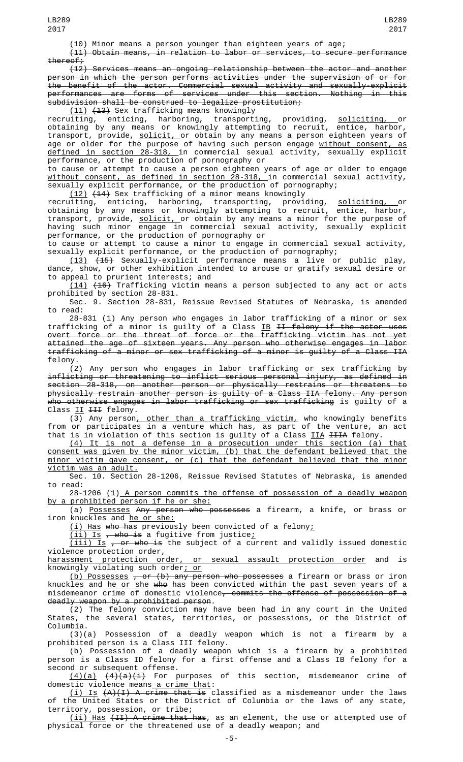(10) Minor means a person younger than eighteen years of age;

(11) Obtain means, in relation to labor or services, to secure performance

thereof;<br> $(12)$ Services means an ongoing relationship between the actor and another person in which the person performs activities under the supervision of or for the benefit of the actor. Commercial sexual activity and sexually-explicit performances are forms of services under this section. Nothing in this subdivision shall be construed to legalize prostitution;

(11) (13) Sex trafficking means knowingly

recruiting, enticing, harboring, transporting, providing, <u>soliciting, o</u>r obtaining by any means or knowingly attempting to recruit, entice, harbor, transport, provide, <u>solicit, o</u>r obtain by any means a person eighteen years of age or older for the purpose of having such person engage <u>without consent, as</u> defined in section 28-318, in commercial sexual activity, sexually explicit performance, or the production of pornography or

to cause or attempt to cause a person eighteen years of age or older to engage without consent, as defined in section 28-318, in commercial sexual activity, sexually explicit performance, or the production of pornography;

(12) (14) Sex trafficking of a minor means knowingly

recruiting, enticing, harboring, transporting, providing, <u>soliciting, o</u>r obtaining by any means or knowingly attempting to recruit, entice, harbor, transport, provide, <u>solicit, o</u>r obtain by any means a minor for the purpose of having such minor engage in commercial sexual activity, sexually explicit performance, or the production of pornography or

to cause or attempt to cause a minor to engage in commercial sexual activity, sexually explicit performance, or the production of pornography;

(13) (15) Sexually-explicit performance means a live or public play, dance, show, or other exhibition intended to arouse or gratify sexual desire or to appeal to prurient interests; and

 $(14)$   $(16)$  Trafficking victim means a person subjected to any act or acts prohibited by section 28-831.

Sec. 9. Section 28-831, Reissue Revised Statutes of Nebraska, is amended to read:

28-831 (1) Any person who engages in labor trafficking of a minor or sex trafficking of a minor is guilty of a Class <u>IB</u> <del>II felony if the actor uses</del> overt force or the threat of force or the trafficking victim has not yet attained the age of sixteen years. Any person who otherwise engages in labor trafficking of a minor or sex trafficking of a minor is guilty of a Class IIA felony.

(2) Any person who engages in labor trafficking or sex trafficking by inflicting or threatening to inflict serious personal injury, as defined in section 28-318, on another person or physically restrains or threatens to physically restrain another person is guilty of a Class IIA felony. Any person who otherwise engages in labor trafficking or sex trafficking is guilty of a Class II III felony.

(3) Any person, other than a trafficking victim, who knowingly benefits from or participates in a venture which has, as part of the venture, an act that is in violation of this section is guilty of a Class <u>IIA</u> <del>IIIA</del> felony.

(4) It is not a defense in a prosecution under this section (a) that consent was given by the minor victim, (b) that the defendant believed that the minor victim gave consent, or (c) that the defendant believed that the minor victim was an adult.

Sec. 10. Section 28-1206, Reissue Revised Statutes of Nebraska, is amended to read:

28-1206 (1) A person commits the offense of possession of a deadly weapon by a prohibited person if he or she:

(a) Possesses Any person who possesses a firearm, a knife, or brass or iron knuckles and he or she:

(i) Has who has previously been convicted of a felony;

 $(i$ i) Is <del>, who is</del> a fugitive from justice;

 $(iii)$  Is , or who is the subject of a current and validly issued domestic violence protection order,

harassment protection order, or sexual assault protection order and is knowingly violating such order<u>; or</u>

<u>(b) Possesses</u> <del>, or (b) any person who possesses</del> a firearm or brass or iron knuckles and <u>he or she</u> <del>who</del> has been convicted within the past seven years of a misdemeanor crime of domestic violence, commits the offense of possession of a deadly weapon by a prohibited person.

(2) The felony conviction may have been had in any court in the United States, the several states, territories, or possessions, or the District of Columbia.

(3)(a) Possession of a deadly weapon which is not a firearm by a prohibited person is a Class III felony.

(b) Possession of a deadly weapon which is a firearm by a prohibited person is a Class ID felony for a first offense and a Class IB felony for a second or subsequent offense.

<u>(4)(a)</u> <del>(4)(a)(i)</del> For purposes of this section, misdemeanor crime of domestic violence means<u> a crime that</u>:

(i) Is (A)(I) A crime that is classified as a misdemeanor under the laws of the United States or the District of Columbia or the laws of any state, territory, possession, or tribe;

(ii) Has (II) A crime that has, as an element, the use or attempted use of physical force or the threatened use of a deadly weapon; and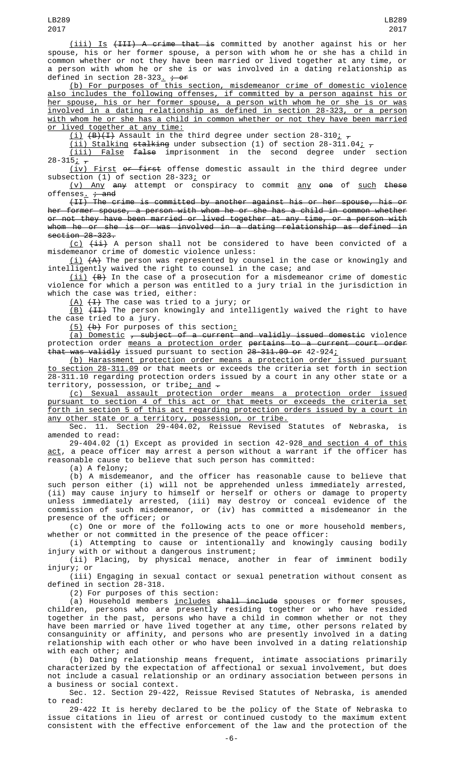(iii) Is (III) A crime that is committed by another against his or her spouse, his or her former spouse, a person with whom he or she has a child in common whether or not they have been married or lived together at any time, or a person with whom he or she is or was involved in a dating relationship as defined in section  $28-323$ ,  $\div$  or

(b) For purposes of this section, misdemeanor crime of domestic violence also includes the following offenses, if committed by a person against his or her spouse, his or her former spouse, a person with whom he or she is or was involved in a dating relationship as defined in section 28-323, or a person with whom he or she has a child in common whether or not they have been married <u>or lived together at any time:</u>

<u>(i)</u> <del>(B)(I)</del> Assault in the third degree under section 28-310<u>;</u>  $_\tau$ 

<u>(ii) Stalking stalking</u> under subsection (1) of section 28-311.04<u>;</u>  $_\tau$ 

(iii) False false imprisonment in the second degree under section  $28 - 315$ ;  $7$ 

(iv) First or first offense domestic assault in the third degree under subsection (1) of section 28-323; or

 $(v)$  Any attempt or conspiracy to commit any one of such these offenses  $\frac{1}{t}$  and

(II) The crime is committed by another against his or her spouse, his or her former spouse, a person with whom he or she has a child in common whether or not they have been married or lived together at any time, or a person with whom he or she is or was involved in a dating relationship as defined in section 28-323.

 $(c)$   $(i)$  A person shall not be considered to have been convicted of a misdemeanor crime of domestic violence unless:

 $(\dot{\bot})$   $\{ {\sf A} \}$  The person was represented by counsel in the case or knowingly and intelligently waived the right to counsel in the case; and

 $(\mathtt{ii})$   $\mathsf{(B)}$  In the case of a prosecution for a misdemeanor crime of domestic violence for which a person was entitled to a jury trial in the jurisdiction in which the case was tried, either:

 $(A)$   $(\frac{1}{1})$  The case was tried to a jury; or

<u>(B)</u> <del>(II)</del> The person knowingly and intelligently waived the right to have the case tried to a jury.

<u>(5)</u> <del>(b)</del> For purposes of this section<u>:</u>

(a) Domestic , subject of a current and validly issued domestic violence protection order <u>means a protection order</u> <del>pertains to a current court order</del> that was validly issued pursuant to section 28-311.09 or 42-924;

(b) Harassment protection order means a protection order issued pursuant to section 28-311.09 or that meets or exceeds the criteria set forth in section 28-311.10 regarding protection orders issued by a court in any other state or a territory, possession, or tribe<u>; and</u>  $\overline{\cdot}$ 

(c) Sexual assault protection order means a protection order issued pursuant to section 4 of this act or that meets or exceeds the criteria set forth in section 5 of this act regarding protection orders issued by a court in

any other state or a territory, possession, or tribe. Sec. 11. Section 29-404.02, Reissue Revised Statutes of Nebraska, is amended to read:

29-404.02 (1) Except as provided in section 42-928 and section 4 of this <u>act</u>, a peace officer may arrest a person without a warrant if the officer has reasonable cause to believe that such person has committed:

(a) A felony;

(b) A misdemeanor, and the officer has reasonable cause to believe that such person either (i) will not be apprehended unless immediately arrested, (ii) may cause injury to himself or herself or others or damage to property unless immediately arrested, (iii) may destroy or conceal evidence of the commission of such misdemeanor, or (iv) has committed a misdemeanor in the presence of the officer; or

(c) One or more of the following acts to one or more household members, whether or not committed in the presence of the peace officer:

(i) Attempting to cause or intentionally and knowingly causing bodily injury with or without a dangerous instrument;

(ii) Placing, by physical menace, another in fear of imminent bodily injury; or

(iii) Engaging in sexual contact or sexual penetration without consent as defined in section 28-318.

(2) For purposes of this section:

(a) Household members <u>includes</u> <del>shall include</del> spouses or former spouses, children, persons who are presently residing together or who have resided together in the past, persons who have a child in common whether or not they have been married or have lived together at any time, other persons related by consanguinity or affinity, and persons who are presently involved in a dating relationship with each other or who have been involved in a dating relationship with each other; and

(b) Dating relationship means frequent, intimate associations primarily characterized by the expectation of affectional or sexual involvement, but does not include a casual relationship or an ordinary association between persons in a business or social context.

Sec. 12. Section 29-422, Reissue Revised Statutes of Nebraska, is amended to read:

29-422 It is hereby declared to be the policy of the State of Nebraska to issue citations in lieu of arrest or continued custody to the maximum extent consistent with the effective enforcement of the law and the protection of the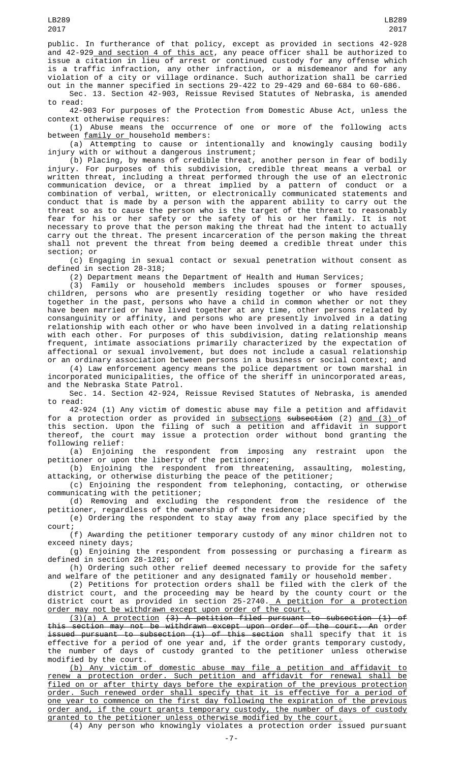public. In furtherance of that policy, except as provided in sections 42-928 and 42-929<u> and section 4 of this act</u>, any peace officer shall be authorized to issue a citation in lieu of arrest or continued custody for any offense which is a traffic infraction, any other infraction, or a misdemeanor and for any violation of a city or village ordinance. Such authorization shall be carried out in the manner specified in sections 29-422 to 29-429 and 60-684 to 60-686.

Sec. 13. Section 42-903, Reissue Revised Statutes of Nebraska, is amended to read:

42-903 For purposes of the Protection from Domestic Abuse Act, unless the context otherwise requires:

(1) Abuse means the occurrence of one or more of the following acts between family or household members:

(a) Attempting to cause or intentionally and knowingly causing bodily injury with or without a dangerous instrument;

(b) Placing, by means of credible threat, another person in fear of bodily injury. For purposes of this subdivision, credible threat means a verbal or written threat, including a threat performed through the use of an electronic communication device, or a threat implied by a pattern of conduct or a combination of verbal, written, or electronically communicated statements and conduct that is made by a person with the apparent ability to carry out the threat so as to cause the person who is the target of the threat to reasonably fear for his or her safety or the safety of his or her family. It is not necessary to prove that the person making the threat had the intent to actually carry out the threat. The present incarceration of the person making the threat shall not prevent the threat from being deemed a credible threat under this section; or

(c) Engaging in sexual contact or sexual penetration without consent as defined in section 28-318;

(2) Department means the Department of Health and Human Services;

(3) Family or household members includes spouses or former spouses, children, persons who are presently residing together or who have resided together in the past, persons who have a child in common whether or not they have been married or have lived together at any time, other persons related by consanguinity or affinity, and persons who are presently involved in a dating relationship with each other or who have been involved in a dating relationship with each other. For purposes of this subdivision, dating relationship means frequent, intimate associations primarily characterized by the expectation of affectional or sexual involvement, but does not include a casual relationship or an ordinary association between persons in a business or social context; and

(4) Law enforcement agency means the police department or town marshal in incorporated municipalities, the office of the sheriff in unincorporated areas, and the Nebraska State Patrol.

Sec. 14. Section 42-924, Reissue Revised Statutes of Nebraska, is amended to read:

42-924 (1) Any victim of domestic abuse may file a petition and affidavit for a protection order as provided in <u>subsections</u> <del>subsection</del> (2) <u>and (3) </u>of this section. Upon the filing of such a petition and affidavit in support thereof, the court may issue a protection order without bond granting the following relief:

(a) Enjoining the respondent from imposing any restraint upon the petitioner or upon the liberty of the petitioner;

(b) Enjoining the respondent from threatening, assaulting, molesting, attacking, or otherwise disturbing the peace of the petitioner;

(c) Enjoining the respondent from telephoning, contacting, or otherwise communicating with the petitioner;

(d) Removing and excluding the respondent from the residence of the petitioner, regardless of the ownership of the residence;

(e) Ordering the respondent to stay away from any place specified by the court;

(f) Awarding the petitioner temporary custody of any minor children not to exceed ninety days;

(g) Enjoining the respondent from possessing or purchasing a firearm as defined in section 28-1201; or

(h) Ordering such other relief deemed necessary to provide for the safety and welfare of the petitioner and any designated family or household member.

(2) Petitions for protection orders shall be filed with the clerk of the district court, and the proceeding may be heard by the county court or the district court as provided in section 25-2740.<u> A petition for a protection</u> order may not be withdrawn except upon order of the court.

(3)(a) A protection (3) A petition filed pursuant to subsection (1) of this section may not be withdrawn except upon order of the court. An order issued pursuant to subsection (1) of this section shall specify that it is effective for a period of one year and, if the order grants temporary custody, the number of days of custody granted to the petitioner unless otherwise modified by the court.

(b) Any victim of domestic abuse may file a petition and affidavit to renew a protection order. Such petition and affidavit for renewal shall be filed on or after thirty days before the expiration of the previous protection order. Such renewed order shall specify that it is effective for a period of one year to commence on the first day following the expiration of the previous order and, if the court grants temporary custody, the number of days of custody granted to the petitioner unless otherwise modified by the court.

(4) Any person who knowingly violates a protection order issued pursuant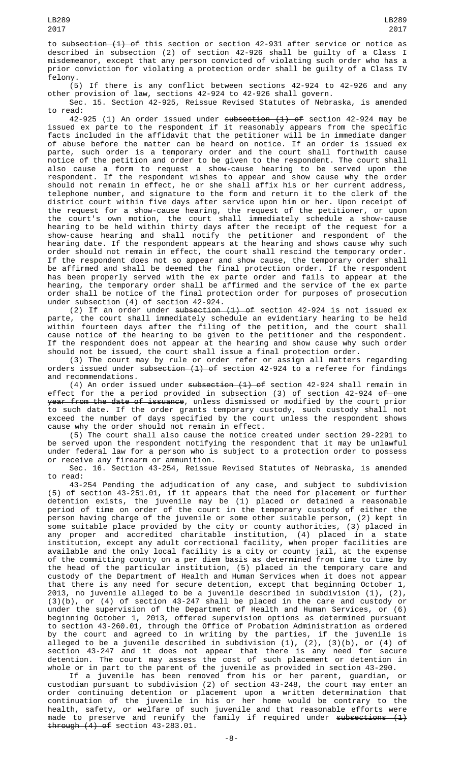(5) If there is any conflict between sections 42-924 to 42-926 and any other provision of law, sections 42-924 to 42-926 shall govern.

Sec. 15. Section 42-925, Reissue Revised Statutes of Nebraska, is amended to read:

42-925 (1) An order issued under subsection (1) of section 42-924 may be issued ex parte to the respondent if it reasonably appears from the specific facts included in the affidavit that the petitioner will be in immediate danger of abuse before the matter can be heard on notice. If an order is issued ex parte, such order is a temporary order and the court shall forthwith cause notice of the petition and order to be given to the respondent. The court shall also cause a form to request a show-cause hearing to be served upon the respondent. If the respondent wishes to appear and show cause why the order should not remain in effect, he or she shall affix his or her current address, telephone number, and signature to the form and return it to the clerk of the district court within five days after service upon him or her. Upon receipt of the request for a show-cause hearing, the request of the petitioner, or upon the court's own motion, the court shall immediately schedule a show-cause hearing to be held within thirty days after the receipt of the request for a show-cause hearing and shall notify the petitioner and respondent of the hearing date. If the respondent appears at the hearing and shows cause why such order should not remain in effect, the court shall rescind the temporary order. If the respondent does not so appear and show cause, the temporary order shall be affirmed and shall be deemed the final protection order. If the respondent has been properly served with the ex parte order and fails to appear at the hearing, the temporary order shall be affirmed and the service of the ex parte order shall be notice of the final protection order for purposes of prosecution under subsection (4) of section 42-924.

(2) If an order under  $\frac{1}{1}$  of section 42-924 is not issued ex parte, the court shall immediately schedule an evidentiary hearing to be held within fourteen days after the filing of the petition, and the court shall cause notice of the hearing to be given to the petitioner and the respondent. If the respondent does not appear at the hearing and show cause why such order should not be issued, the court shall issue a final protection order.

(3) The court may by rule or order refer or assign all matters regarding orders issued under subsection  $(1)$  of section 42-924 to a referee for findings and recommendations.

(4) An order issued under subsection (1) of section 42-924 shall remain in effect for the a period provided in subsection (3) of section 42-924 of one <del>year from the date of issuance</del>, unless dismissed or modified by the court prior to such date. If the order grants temporary custody, such custody shall not exceed the number of days specified by the court unless the respondent shows cause why the order should not remain in effect.

(5) The court shall also cause the notice created under section 29-2291 to be served upon the respondent notifying the respondent that it may be unlawful under federal law for a person who is subject to a protection order to possess or receive any firearm or ammunition.

Sec. 16. Section 43-254, Reissue Revised Statutes of Nebraska, is amended to read:

43-254 Pending the adjudication of any case, and subject to subdivision (5) of section 43-251.01, if it appears that the need for placement or further detention exists, the juvenile may be (1) placed or detained a reasonable period of time on order of the court in the temporary custody of either the person having charge of the juvenile or some other suitable person, (2) kept in some suitable place provided by the city or county authorities, (3) placed in any proper and accredited charitable institution, (4) placed in a state institution, except any adult correctional facility, when proper facilities are available and the only local facility is a city or county jail, at the expense of the committing county on a per diem basis as determined from time to time by the head of the particular institution, (5) placed in the temporary care and custody of the Department of Health and Human Services when it does not appear that there is any need for secure detention, except that beginning October 1, 2013, no juvenile alleged to be a juvenile described in subdivision (1), (2), (3)(b), or (4) of section 43-247 shall be placed in the care and custody or under the supervision of the Department of Health and Human Services, or (6) beginning October 1, 2013, offered supervision options as determined pursuant to section 43-260.01, through the Office of Probation Administration as ordered by the court and agreed to in writing by the parties, if the juvenile is alleged to be a juvenile described in subdivision (1), (2), (3)(b), or (4) of section 43-247 and it does not appear that there is any need for secure detention. The court may assess the cost of such placement or detention in whole or in part to the parent of the juvenile as provided in section 43-290.

If a juvenile has been removed from his or her parent, guardian, or custodian pursuant to subdivision (2) of section 43-248, the court may enter an order continuing detention or placement upon a written determination that continuation of the juvenile in his or her home would be contrary to the health, safety, or welfare of such juvenile and that reasonable efforts were made to preserve and reunify the family if required under <del>subsections (1)</del> through (4) of section 43-283.01.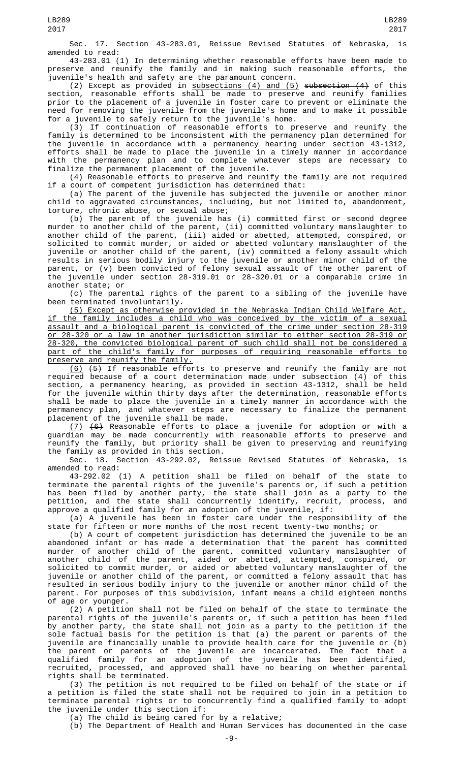Sec. 17. Section 43-283.01, Reissue Revised Statutes of Nebraska, is amended to read:

43-283.01 (1) In determining whether reasonable efforts have been made to preserve and reunify the family and in making such reasonable efforts, the juvenile's health and safety are the paramount concern.

(2) Except as provided in  $\frac{1}{100}$  subsections (4) and (5) subsection (4) of this section, reasonable efforts shall be made to preserve and reunify families prior to the placement of a juvenile in foster care to prevent or eliminate the need for removing the juvenile from the juvenile's home and to make it possible for a juvenile to safely return to the juvenile's home.

(3) If continuation of reasonable efforts to preserve and reunify the family is determined to be inconsistent with the permanency plan determined for the juvenile in accordance with a permanency hearing under section 43-1312, efforts shall be made to place the juvenile in a timely manner in accordance with the permanency plan and to complete whatever steps are necessary to finalize the permanent placement of the juvenile.

(4) Reasonable efforts to preserve and reunify the family are not required if a court of competent jurisdiction has determined that:

(a) The parent of the juvenile has subjected the juvenile or another minor child to aggravated circumstances, including, but not limited to, abandonment, torture, chronic abuse, or sexual abuse;

(b) The parent of the juvenile has (i) committed first or second degree murder to another child of the parent, (ii) committed voluntary manslaughter to another child of the parent, (iii) aided or abetted, attempted, conspired, or solicited to commit murder, or aided or abetted voluntary manslaughter of the juvenile or another child of the parent, (iv) committed a felony assault which results in serious bodily injury to the juvenile or another minor child of the parent, or (v) been convicted of felony sexual assault of the other parent of the juvenile under section 28-319.01 or 28-320.01 or a comparable crime in another state; or

(c) The parental rights of the parent to a sibling of the juvenile have been terminated involuntarily.

(5) Except as otherwise provided in the Nebraska Indian Child Welfare Act, if the family includes a child who was conceived by the victim of a sexual assault and a biological parent is convicted of the crime under section 28-319 or 28-320 or a law in another jurisdiction similar to either section 28-319 or 28-320, the convicted biological parent of such child shall not be considered a part of the child's family for purposes of requiring reasonable efforts to preserve and reunify the family.

(6) (5) If reasonable efforts to preserve and reunify the family are not required because of a court determination made under subsection (4) of this section, a permanency hearing, as provided in section 43-1312, shall be held for the juvenile within thirty days after the determination, reasonable efforts shall be made to place the juvenile in a timely manner in accordance with the permanency plan, and whatever steps are necessary to finalize the permanent placement of the juvenile shall be made.

(7) (6) Reasonable efforts to place a juvenile for adoption or with a guardian may be made concurrently with reasonable efforts to preserve and reunify the family, but priority shall be given to preserving and reunifying the family as provided in this section.

Sec. 18. Section 43-292.02, Reissue Revised Statutes of Nebraska, is amended to read:

43-292.02 (1) A petition shall be filed on behalf of the state to terminate the parental rights of the juvenile's parents or, if such a petition has been filed by another party, the state shall join as a party to the petition, and the state shall concurrently identify, recruit, process, and approve a qualified family for an adoption of the juvenile, if:

(a) A juvenile has been in foster care under the responsibility of the state for fifteen or more months of the most recent twenty-two months; or

(b) A court of competent jurisdiction has determined the juvenile to be an abandoned infant or has made a determination that the parent has committed murder of another child of the parent, committed voluntary manslaughter of another child of the parent, aided or abetted, attempted, conspired, or solicited to commit murder, or aided or abetted voluntary manslaughter of the juvenile or another child of the parent, or committed a felony assault that has resulted in serious bodily injury to the juvenile or another minor child of the parent. For purposes of this subdivision, infant means a child eighteen months of age or younger.

(2) A petition shall not be filed on behalf of the state to terminate the parental rights of the juvenile's parents or, if such a petition has been filed by another party, the state shall not join as a party to the petition if the sole factual basis for the petition is that (a) the parent or parents of the juvenile are financially unable to provide health care for the juvenile or (b) the parent or parents of the juvenile are incarcerated. The fact that a qualified family for an adoption of the juvenile has been identified, recruited, processed, and approved shall have no bearing on whether parental rights shall be terminated.

(3) The petition is not required to be filed on behalf of the state or if a petition is filed the state shall not be required to join in a petition to terminate parental rights or to concurrently find a qualified family to adopt the juvenile under this section if:

(a) The child is being cared for by a relative;

(b) The Department of Health and Human Services has documented in the case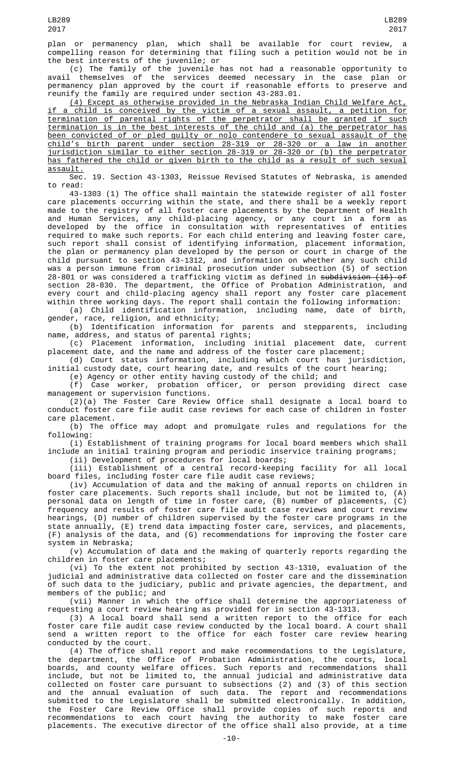plan or permanency plan, which shall be available for court review, a compelling reason for determining that filing such a petition would not be in the best interests of the juvenile; or

(c) The family of the juvenile has not had a reasonable opportunity to avail themselves of the services deemed necessary in the case plan or permanency plan approved by the court if reasonable efforts to preserve and reunify the family are required under section 43-283.01.

(4) Except as otherwise provided in the Nebraska Indian Child Welfare Act, if a child is conceived by the victim of a sexual assault, a petition for termination of parental rights of the perpetrator shall be granted if such termination is in the best interests of the child and (a) the perpetrator has been convicted of or pled guilty or nolo contendere to sexual assault of the child's birth parent under section 28-319 or 28-320 or a law in another jurisdiction similar to either section 28-319 or 28-320 or (b) the perpetrator has fathered the child or given birth to the child as a result of such sexual <u>assault.</u>

Sec. 19. Section 43-1303, Reissue Revised Statutes of Nebraska, is amended to read:

43-1303 (1) The office shall maintain the statewide register of all foster care placements occurring within the state, and there shall be a weekly report made to the registry of all foster care placements by the Department of Health and Human Services, any child-placing agency, or any court in a form as developed by the office in consultation with representatives of entities required to make such reports. For each child entering and leaving foster care, such report shall consist of identifying information, placement information, the plan or permanency plan developed by the person or court in charge of the child pursuant to section 43-1312, and information on whether any such child was a person immune from criminal prosecution under subsection (5) of section 28-801 or was considered a trafficking victim as defined in <del>subdivision (16) of</del> section 28-830. The department, the Office of Probation Administration, and every court and child-placing agency shall report any foster care placement within three working days. The report shall contain the following information:

(a) Child identification information, including name, date of birth, gender, race, religion, and ethnicity;

(b) Identification information for parents and stepparents, including name, address, and status of parental rights;

(c) Placement information, including initial placement date, current placement date, and the name and address of the foster care placement;

(d) Court status information, including which court has jurisdiction, initial custody date, court hearing date, and results of the court hearing;

(e) Agency or other entity having custody of the child; and (f) Case worker, probation officer, or person providing direct case

management or supervision functions.

(2)(a) The Foster Care Review Office shall designate a local board to conduct foster care file audit case reviews for each case of children in foster care placement.

(b) The office may adopt and promulgate rules and regulations for the following:

(i) Establishment of training programs for local board members which shall include an initial training program and periodic inservice training programs;

(ii) Development of procedures for local boards;

(iii) Establishment of a central record-keeping facility for all local board files, including foster care file audit case reviews;

(iv) Accumulation of data and the making of annual reports on children in foster care placements. Such reports shall include, but not be limited to, (A) personal data on length of time in foster care, (B) number of placements, (C) frequency and results of foster care file audit case reviews and court review hearings, (D) number of children supervised by the foster care programs in the state annually, (E) trend data impacting foster care, services, and placements, (F) analysis of the data, and (G) recommendations for improving the foster care system in Nebraska;

(v) Accumulation of data and the making of quarterly reports regarding the children in foster care placements;

(vi) To the extent not prohibited by section 43-1310, evaluation of the judicial and administrative data collected on foster care and the dissemination of such data to the judiciary, public and private agencies, the department, and members of the public; and

(vii) Manner in which the office shall determine the appropriateness of requesting a court review hearing as provided for in section 43-1313.

(3) A local board shall send a written report to the office for each foster care file audit case review conducted by the local board. A court shall send a written report to the office for each foster care review hearing conducted by the court.

(4) The office shall report and make recommendations to the Legislature, the department, the Office of Probation Administration, the courts, local boards, and county welfare offices. Such reports and recommendations shall include, but not be limited to, the annual judicial and administrative data collected on foster care pursuant to subsections (2) and (3) of this section and the annual evaluation of such data. The report and recommendations submitted to the Legislature shall be submitted electronically. In addition, the Foster Care Review Office shall provide copies of such reports and recommendations to each court having the authority to make foster care placements. The executive director of the office shall also provide, at a time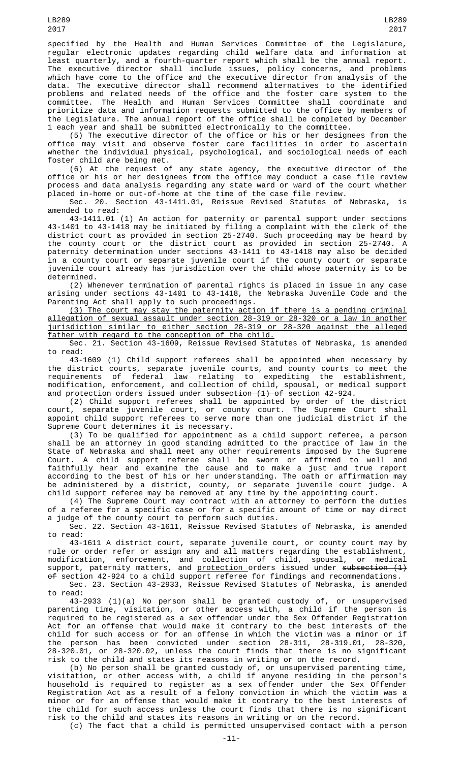specified by the Health and Human Services Committee of the Legislature, regular electronic updates regarding child welfare data and information at least quarterly, and a fourth-quarter report which shall be the annual report. The executive director shall include issues, policy concerns, and problems which have come to the office and the executive director from analysis of the data. The executive director shall recommend alternatives to the identified problems and related needs of the office and the foster care system to the committee. The Health and Human Services Committee shall coordinate and prioritize data and information requests submitted to the office by members of the Legislature. The annual report of the office shall be completed by December 1 each year and shall be submitted electronically to the committee.

(5) The executive director of the office or his or her designees from the office may visit and observe foster care facilities in order to ascertain whether the individual physical, psychological, and sociological needs of each foster child are being met.

(6) At the request of any state agency, the executive director of the office or his or her designees from the office may conduct a case file review process and data analysis regarding any state ward or ward of the court whether placed in-home or out-of-home at the time of the case file review.

Sec. 20. Section 43-1411.01, Reissue Revised Statutes of Nebraska, is amended to read:

43-1411.01 (1) An action for paternity or parental support under sections 43-1401 to 43-1418 may be initiated by filing a complaint with the clerk of the district court as provided in section 25-2740. Such proceeding may be heard by the county court or the district court as provided in section 25-2740. paternity determination under sections 43-1411 to 43-1418 may also be decided in a county court or separate juvenile court if the county court or separate juvenile court already has jurisdiction over the child whose paternity is to be determined.

(2) Whenever termination of parental rights is placed in issue in any case arising under sections 43-1401 to 43-1418, the Nebraska Juvenile Code and the Parenting Act shall apply to such proceedings.

(3) The court may stay the paternity action if there is a pending criminal allegation of sexual assault under section 28-319 or 28-320 or a law in another jurisdiction similar to either section 28-319 or 28-320 against the alleged father with regard to the conception of the child.

Sec. 21. Section 43-1609, Reissue Revised Statutes of Nebraska, is amended to read:

43-1609 (1) Child support referees shall be appointed when necessary by the district courts, separate juvenile courts, and county courts to meet the requirements of federal law relating to expediting the establishment, modification, enforcement, and collection of child, spousal, or medical support and <u>protection </u>orders issued under <del>subsection (1) of</del> section 42-924.

(2) Child support referees shall be appointed by order of the district court, separate juvenile court, or county court. The Supreme Court shall appoint child support referees to serve more than one judicial district if the Supreme Court determines it is necessary.

(3) To be qualified for appointment as a child support referee, a person shall be an attorney in good standing admitted to the practice of law in the State of Nebraska and shall meet any other requirements imposed by the Supreme Court. A child support referee shall be sworn or affirmed to well and faithfully hear and examine the cause and to make a just and true report according to the best of his or her understanding. The oath or affirmation may be administered by a district, county, or separate juvenile court judge. A child support referee may be removed at any time by the appointing court.

(4) The Supreme Court may contract with an attorney to perform the duties of a referee for a specific case or for a specific amount of time or may direct a judge of the county court to perform such duties.

Sec. 22. Section 43-1611, Reissue Revised Statutes of Nebraska, is amended to read:

43-1611 A district court, separate juvenile court, or county court may by rule or order refer or assign any and all matters regarding the establishment, modification, enforcement, and collection of child, spousal, or medical support, paternity matters, and <u>protection o</u>rders issued under <del>subsection (1)</del>  $\Theta$ f section 42-924 to a child support referee for findings and recommendations.

Sec. 23. Section 43-2933, Reissue Revised Statutes of Nebraska, is amended to read:

43-2933 (1)(a) No person shall be granted custody of, or unsupervised parenting time, visitation, or other access with, a child if the person is required to be registered as a sex offender under the Sex Offender Registration Act for an offense that would make it contrary to the best interests of the child for such access or for an offense in which the victim was a minor or if the person has been convicted under section 28-311, 28-319.01, 28-320, 28-320.01, or 28-320.02, unless the court finds that there is no significant risk to the child and states its reasons in writing or on the record.

(b) No person shall be granted custody of, or unsupervised parenting time, visitation, or other access with, a child if anyone residing in the person's household is required to register as a sex offender under the Sex Offender Registration Act as a result of a felony conviction in which the victim was a minor or for an offense that would make it contrary to the best interests of the child for such access unless the court finds that there is no significant risk to the child and states its reasons in writing or on the record.

(c) The fact that a child is permitted unsupervised contact with a person